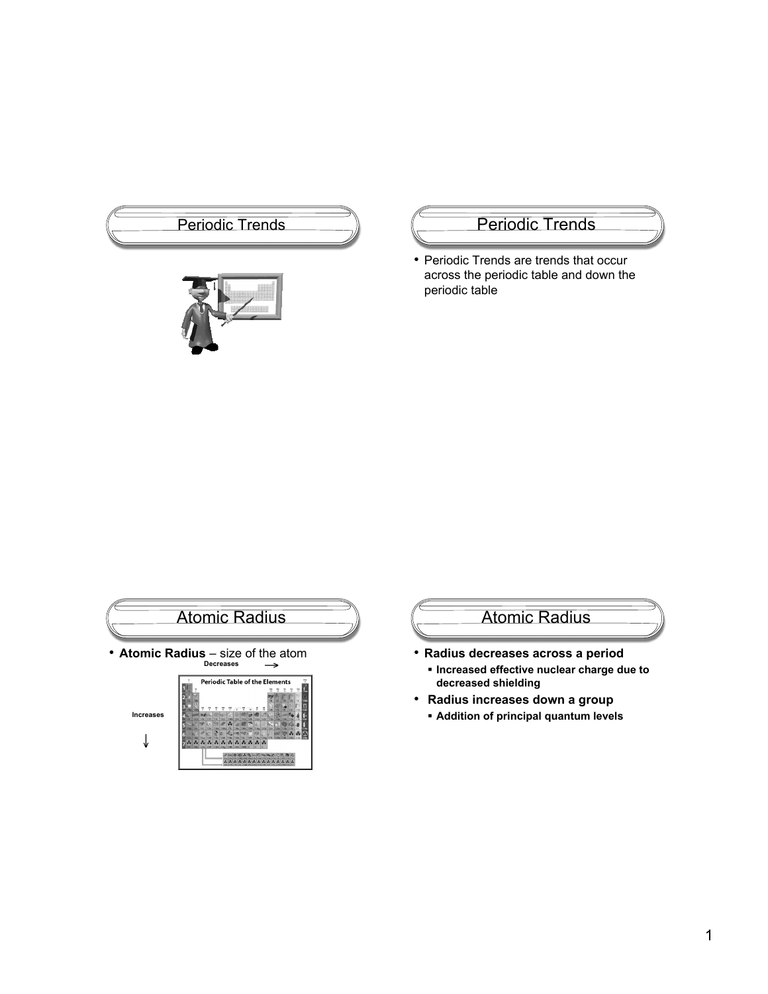



• Periodic Trends are trends that occur across the periodic table and down the periodic table



# Atomic Radius

- **Radius decreases across a period Increased effective nuclear charge due to**
	- **decreased shielding**
- • **Radius increases down a group**
	- **Addition of principal quantum levels**

↓

 $7 - 7$ Ħ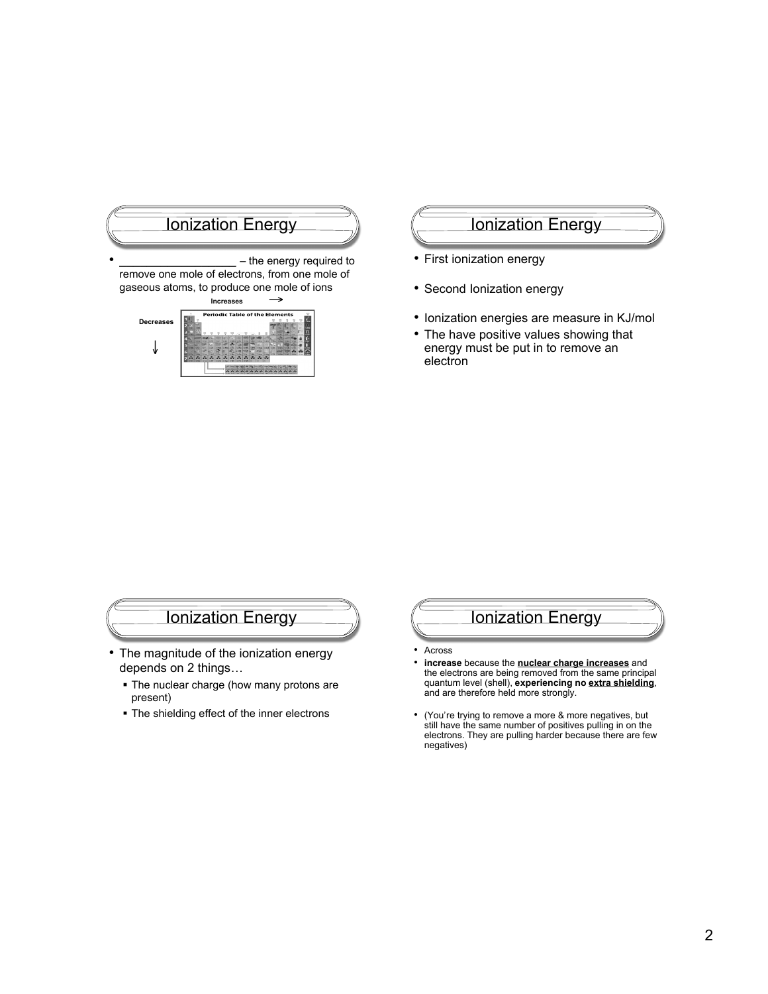

## Ionization Energy

- First ionization energy
- Second Ionization energy
- Ionization energies are measure in KJ/mol
- The have positive values showing that energy must be put in to remove an electron

## Ionization Energy

- The magnitude of the ionization energy depends on 2 things…
	- The nuclear charge (how many protons are present)
	- The shielding effect of the inner electrons



- Across
- **increase** because the **nuclear charge increases** and the electrons are being removed from the same principal quantum level (shell), **experiencing no extra shielding**, and are therefore held more strongly.
- (You're trying to remove a more & more negatives, but still have the same number of positives pulling in on the electrons. They are pulling harder because there are few negatives)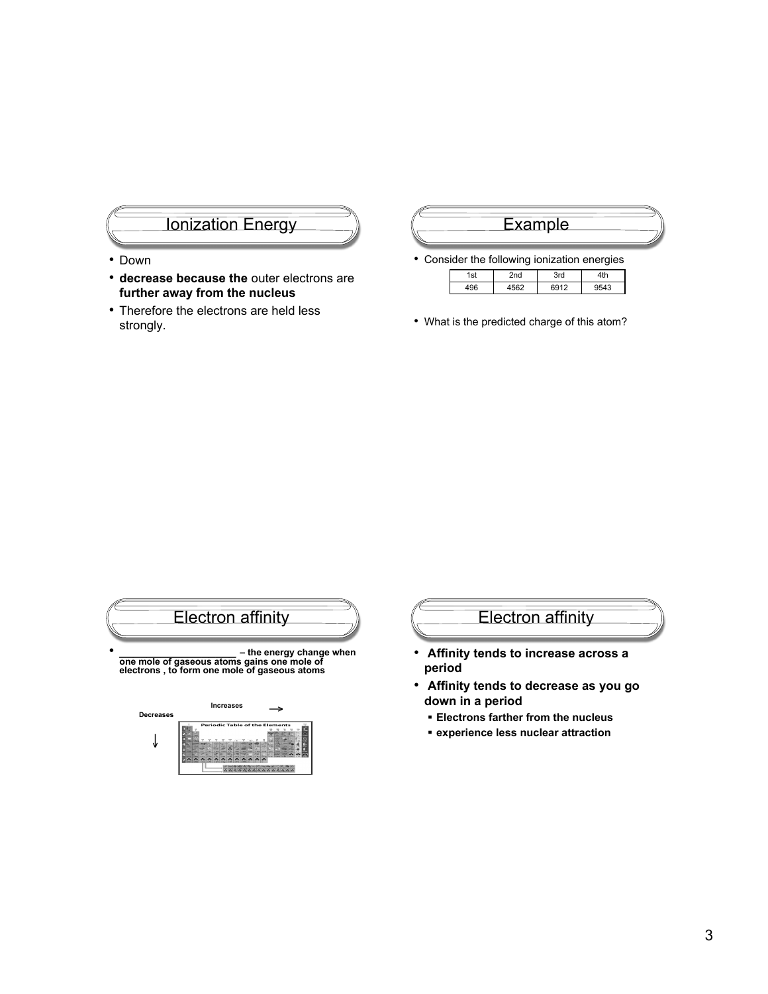# Ionization Energy

- Down
- **decrease because the** outer electrons are **further away from the nucleus**
- Therefore the electrons are held less strongly.

## **Example**

• Consider the following ionization energies

| 1st | --<br>$\sim$ | است 7 |                |
|-----|--------------|-------|----------------|
|     |              |       | $\overline{ }$ |

• What is the predicted charge of this atom?



# Electron affinity

- **Affinity tends to increase across a period**
- • **Affinity tends to decrease as you go down in a period**
	- **Electrons farther from the nucleus**
	- **experience less nuclear attraction**